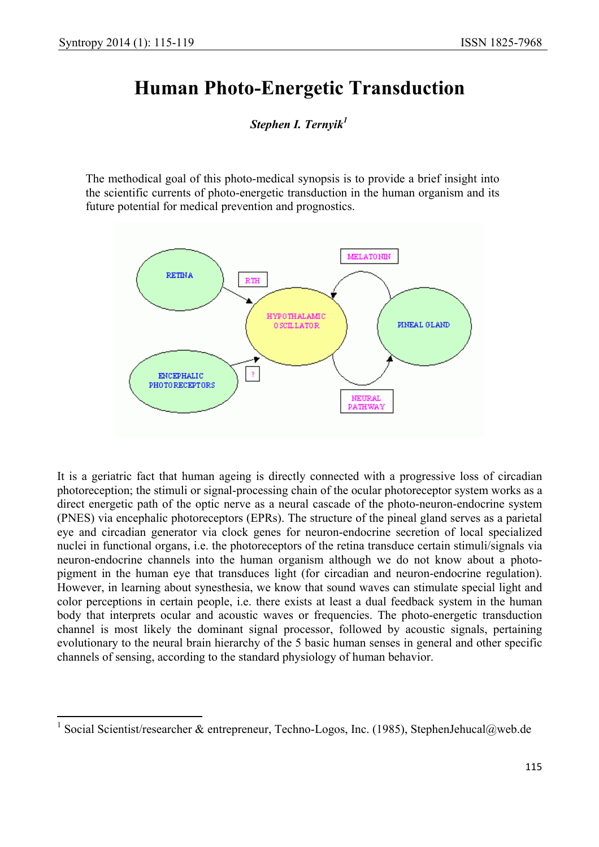$\overline{\phantom{a}}$ 

## **Human Photo-Energetic Transduction**

*Stephen I. Ternyik* 

The methodical goal of this photo-medical synopsis is to provide a brief insight into the scientific currents of photo-energetic transduction in the human organism and its future potential for medical prevention and prognostics.



It is a geriatric fact that human ageing is directly connected with a progressive loss of circadian photoreception; the stimuli or signal-processing chain of the ocular photoreceptor system works as a direct energetic path of the optic nerve as a neural cascade of the photo-neuron-endocrine system (PNES) via encephalic photoreceptors (EPRs). The structure of the pineal gland serves as a parietal eye and circadian generator via clock genes for neuron-endocrine secretion of local specialized nuclei in functional organs, i.e. the photoreceptors of the retina transduce certain stimuli/signals via neuron-endocrine channels into the human organism although we do not know about a photopigment in the human eye that transduces light (for circadian and neuron-endocrine regulation). However, in learning about synesthesia, we know that sound waves can stimulate special light and color perceptions in certain people, i.e. there exists at least a dual feedback system in the human body that interprets ocular and acoustic waves or frequencies. The photo-energetic transduction channel is most likely the dominant signal processor, followed by acoustic signals, pertaining evolutionary to the neural brain hierarchy of the 5 basic human senses in general and other specific channels of sensing, according to the standard physiology of human behavior.

<sup>&</sup>lt;sup>1</sup> Social Scientist/researcher & entrepreneur, Techno-Logos, Inc. (1985), StephenJehucal@web.de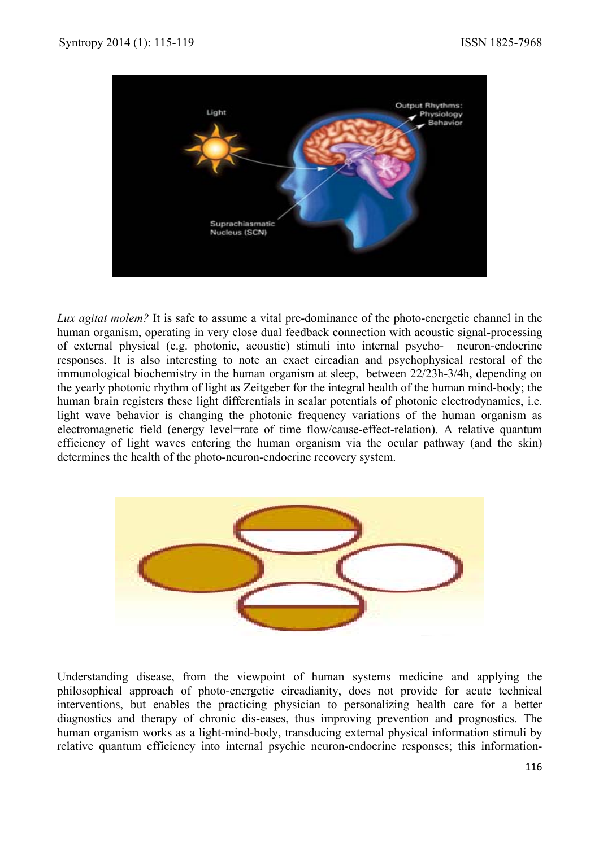

*Lux agitat molem?* It is safe to assume a vital pre-dominance of the photo-energetic channel in the human organism, operating in very close dual feedback connection with acoustic signal-processing of external physical (e.g. photonic, acoustic) stimuli into internal psycho- neuron-endocrine responses. It is also interesting to note an exact circadian and psychophysical restoral of the immunological biochemistry in the human organism at sleep, between 22/23h-3/4h, depending on the yearly photonic rhythm of light as Zeitgeber for the integral health of the human mind-body; the human brain registers these light differentials in scalar potentials of photonic electrodynamics, i.e. light wave behavior is changing the photonic frequency variations of the human organism as electromagnetic field (energy level=rate of time flow/cause-effect-relation). A relative quantum efficiency of light waves entering the human organism via the ocular pathway (and the skin) determines the health of the photo-neuron-endocrine recovery system.



Understanding disease, from the viewpoint of human systems medicine and applying the philosophical approach of photo-energetic circadianity, does not provide for acute technical interventions, but enables the practicing physician to personalizing health care for a better diagnostics and therapy of chronic dis-eases, thus improving prevention and prognostics. The human organism works as a light-mind-body, transducing external physical information stimuli by relative quantum efficiency into internal psychic neuron-endocrine responses; this information-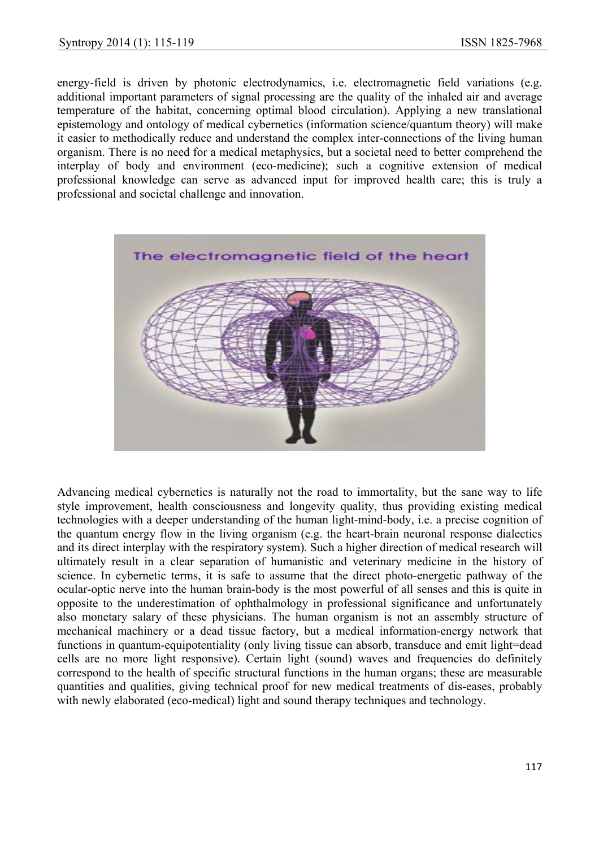energy-field is driven by photonic electrodynamics, i.e. electromagnetic field variations (e.g. additional important parameters of signal processing are the quality of the inhaled air and average temperature of the habitat, concerning optimal blood circulation). Applying a new translational epistemology and ontology of medical cybernetics (information science/quantum theory) will make it easier to methodically reduce and understand the complex inter-connections of the living human organism. There is no need for a medical metaphysics, but a societal need to better comprehend the interplay of body and environment (eco-medicine); such a cognitive extension of medical professional knowledge can serve as advanced input for improved health care; this is truly a professional and societal challenge and innovation.



Advancing medical cybernetics is naturally not the road to immortality, but the sane way to life style improvement, health consciousness and longevity quality, thus providing existing medical technologies with a deeper understanding of the human light-mind-body, i.e. a precise cognition of the quantum energy flow in the living organism (e.g. the heart-brain neuronal response dialectics and its direct interplay with the respiratory system). Such a higher direction of medical research will ultimately result in a clear separation of humanistic and veterinary medicine in the history of science. In cybernetic terms, it is safe to assume that the direct photo-energetic pathway of the ocular-optic nerve into the human brain-body is the most powerful of all senses and this is quite in opposite to the underestimation of ophthalmology in professional significance and unfortunately also monetary salary of these physicians. The human organism is not an assembly structure of mechanical machinery or a dead tissue factory, but a medical information-energy network that functions in quantum-equipotentiality (only living tissue can absorb, transduce and emit light=dead cells are no more light responsive). Certain light (sound) waves and frequencies do definitely correspond to the health of specific structural functions in the human organs; these are measurable quantities and qualities, giving technical proof for new medical treatments of dis-eases, probably with newly elaborated (eco-medical) light and sound therapy techniques and technology.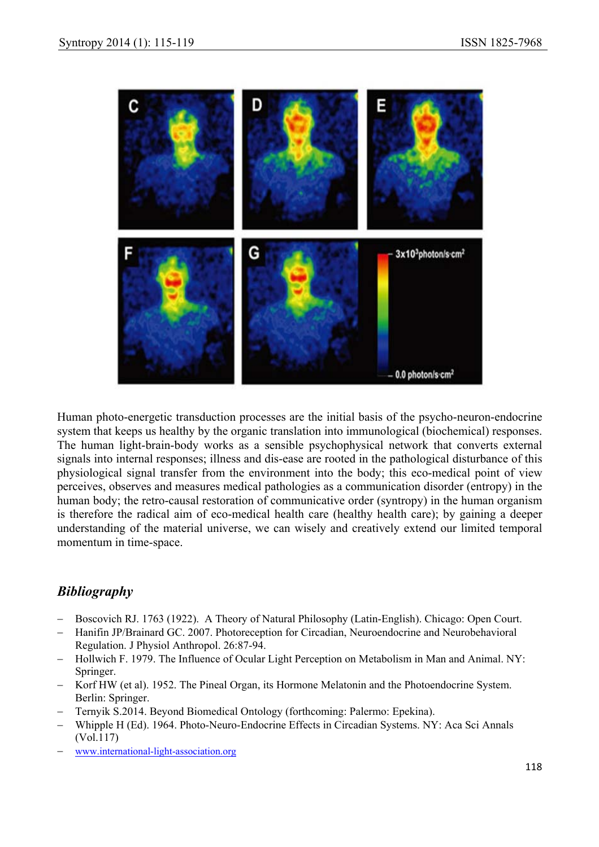

Human photo-energetic transduction processes are the initial basis of the psycho-neuron-endocrine system that keeps us healthy by the organic translation into immunological (biochemical) responses. The human light-brain-body works as a sensible psychophysical network that converts external signals into internal responses; illness and dis-ease are rooted in the pathological disturbance of this physiological signal transfer from the environment into the body; this eco-medical point of view perceives, observes and measures medical pathologies as a communication disorder (entropy) in the human body; the retro-causal restoration of communicative order (syntropy) in the human organism is therefore the radical aim of eco-medical health care (healthy health care); by gaining a deeper understanding of the material universe, we can wisely and creatively extend our limited temporal momentum in time-space.

## *Bibliography*

- − Boscovich RJ. 1763 (1922). A Theory of Natural Philosophy (Latin-English). Chicago: Open Court.
- − Hanifin JP/Brainard GC. 2007. Photoreception for Circadian, Neuroendocrine and Neurobehavioral Regulation. J Physiol Anthropol. 26:87-94.
- − Hollwich F. 1979. The Influence of Ocular Light Perception on Metabolism in Man and Animal. NY: Springer.
- − Korf HW (et al). 1952. The Pineal Organ, its Hormone Melatonin and the Photoendocrine System. Berlin: Springer.
- − Ternyik S.2014. Beyond Biomedical Ontology (forthcoming: Palermo: Epekina).
- − Whipple H (Ed). 1964. Photo-Neuro-Endocrine Effects in Circadian Systems. NY: Aca Sci Annals (Vol.117)
- − www.international-light-association.org